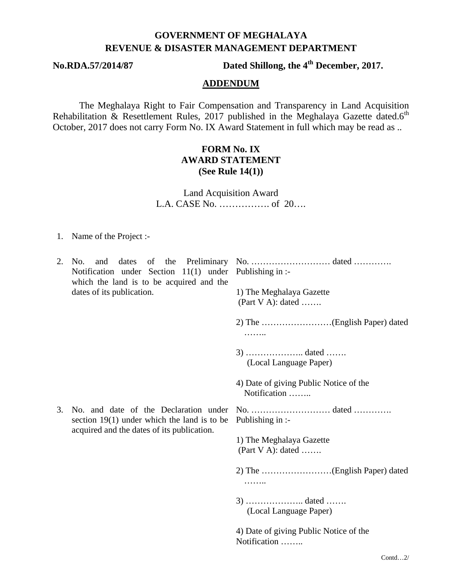# **GOVERNMENT OF MEGHALAYA REVENUE & DISASTER MANAGEMENT DEPARTMENT**

**No.RDA.57/2014/87 Dated Shillong, the 4th December, 2017.**

#### **ADDENDUM**

The Meghalaya Right to Fair Compensation and Transparency in Land Acquisition Rehabilitation & Resettlement Rules, 2017 published in the Meghalaya Gazette dated.6<sup>th</sup> October, 2017 does not carry Form No. IX Award Statement in full which may be read as ..

### **FORM No. IX AWARD STATEMENT (See Rule 14(1))**

Land Acquisition Award L.A. CASE No. ……………. of 20….

1. Name of the Project :-

| 2. | and<br>No.<br>Notification under Section $11(1)$ under Publishing in :-<br>which the land is to be acquired and the<br>dates of its publication. | dates of the Preliminary No. dated<br>1) The Meghalaya Gazette<br>(Part V A): dated |  |
|----|--------------------------------------------------------------------------------------------------------------------------------------------------|-------------------------------------------------------------------------------------|--|
|    |                                                                                                                                                  | .                                                                                   |  |
|    |                                                                                                                                                  | (Local Language Paper)                                                              |  |
|    |                                                                                                                                                  | 4) Date of giving Public Notice of the<br>Notification                              |  |
| 3. | No. and date of the Declaration under<br>section $19(1)$ under which the land is to be<br>acquired and the dates of its publication.             | Publishing in :-                                                                    |  |
|    |                                                                                                                                                  | 1) The Meghalaya Gazette<br>(Part V A): dated                                       |  |
|    |                                                                                                                                                  | .                                                                                   |  |
|    |                                                                                                                                                  | (Local Language Paper)                                                              |  |
|    |                                                                                                                                                  | 4) Date of giving Public Notice of the<br>Notification                              |  |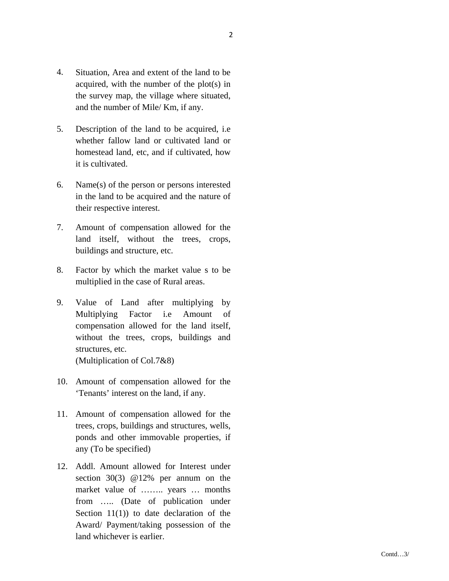- 4. Situation, Area and extent of the land to be acquired, with the number of the plot(s) in the survey map, the village where situated, and the number of Mile/ Km, if any.
- 5. Description of the land to be acquired, i.e whether fallow land or cultivated land or homestead land, etc, and if cultivated, how it is cultivated.
- 6. Name(s) of the person or persons interested in the land to be acquired and the nature of their respective interest.
- 7. Amount of compensation allowed for the land itself, without the trees, crops, buildings and structure, etc.
- 8. Factor by which the market value s to be multiplied in the case of Rural areas.
- 9. Value of Land after multiplying by Multiplying Factor i.e Amount of compensation allowed for the land itself, without the trees, crops, buildings and structures, etc. (Multiplication of Col.7&8)
- 10. Amount of compensation allowed for the 'Tenants' interest on the land, if any.
- 11. Amount of compensation allowed for the trees, crops, buildings and structures, wells, ponds and other immovable properties, if any (To be specified)
- 12. Addl. Amount allowed for Interest under section 30(3) @12% per annum on the market value of …….. years … months from ….. (Date of publication under Section 11(1)) to date declaration of the Award/ Payment/taking possession of the land whichever is earlier.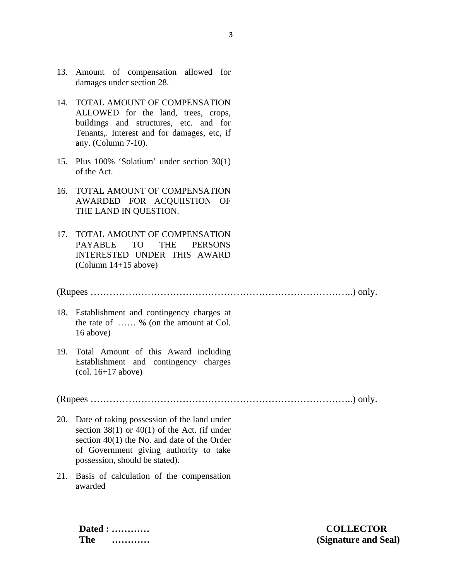- 13. Amount of compensation allowed for damages under section 28.
- 14. TOTAL AMOUNT OF COMPENSATION ALLOWED for the land, trees, crops, buildings and structures, etc. and for Tenants,. Interest and for damages, etc, if any. (Column 7-10).
- 15. Plus 100% 'Solatium' under section 30(1) of the Act.
- 16. TOTAL AMOUNT OF COMPENSATION AWARDED FOR ACQUIISTION OF THE LAND IN QUESTION.
- 17. TOTAL AMOUNT OF COMPENSATION PAYABLE TO THE PERSONS INTERESTED UNDER THIS AWARD (Column 14+15 above)

#### (Rupees ………………………………………………………………………..) only.

- 18. Establishment and contingency charges at the rate of …… % (on the amount at Col. 16 above)
- 19. Total Amount of this Award including Establishment and contingency charges (col. 16+17 above)

(Rupees ………………………………………………………………………..) only.

- 20. Date of taking possession of the land under section  $38(1)$  or  $40(1)$  of the Act. (if under section 40(1) the No. and date of the Order of Government giving authority to take possession, should be stated).
- 21. Basis of calculation of the compensation awarded

**Dated : ………… COLLECTOR**

**The ………… (Signature and Seal)**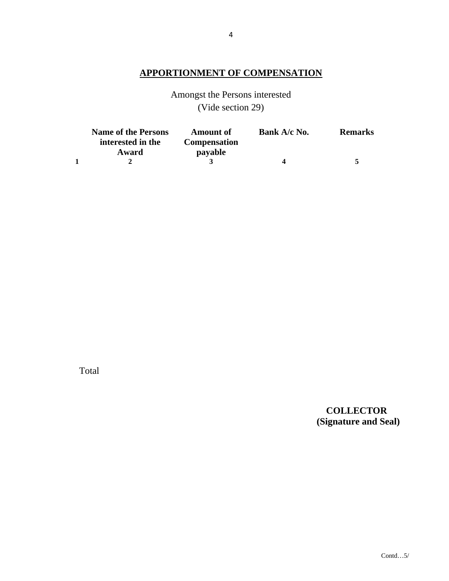## **APPORTIONMENT OF COMPENSATION**

Amongst the Persons interested (Vide section 29)

| <b>Name of the Persons</b><br>interested in the | <b>Amount of</b><br><b>Compensation</b> | Bank A/c No. | <b>Remarks</b> |
|-------------------------------------------------|-----------------------------------------|--------------|----------------|
| Award                                           | payable                                 |              |                |
|                                                 |                                         |              | к              |

Total

# **COLLECTOR (Signature and Seal)**